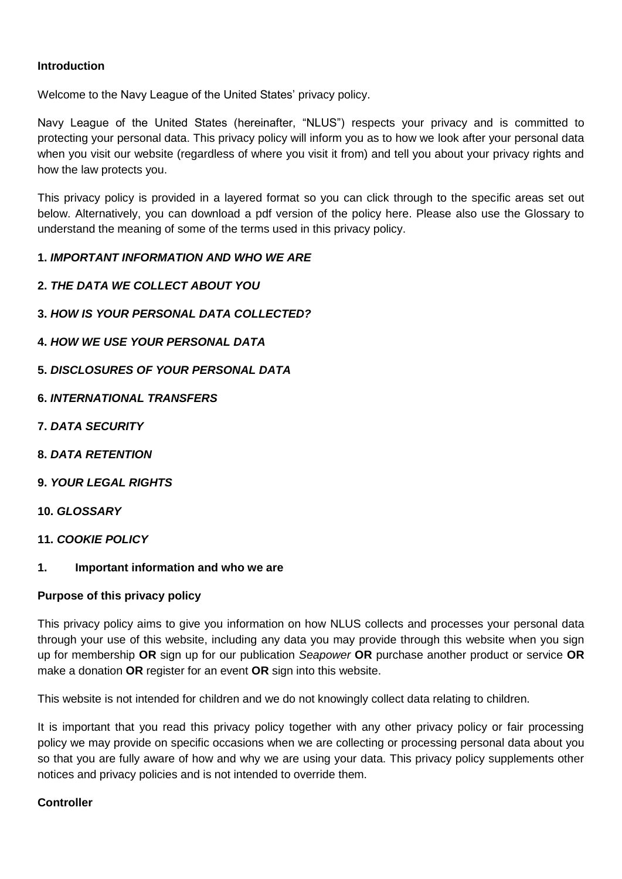# **Introduction**

Welcome to the Navy League of the United States' privacy policy.

Navy League of the United States (hereinafter, "NLUS") respects your privacy and is committed to protecting your personal data. This privacy policy will inform you as to how we look after your personal data when you visit our website (regardless of where you visit it from) and tell you about your privacy rights and how the law protects you.

This privacy policy is provided in a layered format so you can click through to the specific areas set out below. Alternatively, you can download a pdf version of the policy here. Please also use the Glossary to understand the meaning of some of the terms used in this privacy policy.

## **1.** *IMPORTANT INFORMATION AND WHO WE ARE*

- **2.** *THE DATA WE COLLECT ABOUT YOU*
- **3.** *HOW IS YOUR PERSONAL DATA COLLECTED?*
- **4.** *HOW WE USE YOUR PERSONAL DATA*
- **5.** *DISCLOSURES OF YOUR PERSONAL DATA*
- **6.** *INTERNATIONAL TRANSFERS*
- **7.** *DATA SECURITY*
- **8.** *DATA RETENTION*
- **9.** *YOUR LEGAL RIGHTS*

## **10.** *GLOSSARY*

- **11.** *COOKIE POLICY*
- **1. Important information and who we are**

## **Purpose of this privacy policy**

This privacy policy aims to give you information on how NLUS collects and processes your personal data through your use of this website, including any data you may provide through this website when you sign up for membership **OR** sign up for our publication *Seapower* **OR** purchase another product or service **OR** make a donation **OR** register for an event **OR** sign into this website.

This website is not intended for children and we do not knowingly collect data relating to children.

It is important that you read this privacy policy together with any other privacy policy or fair processing policy we may provide on specific occasions when we are collecting or processing personal data about you so that you are fully aware of how and why we are using your data. This privacy policy supplements other notices and privacy policies and is not intended to override them.

## **Controller**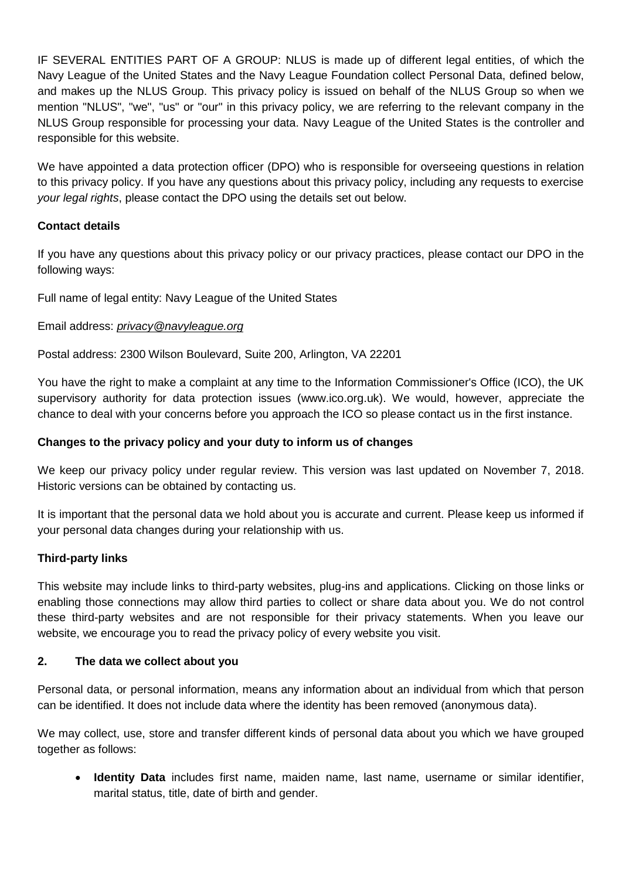IF SEVERAL ENTITIES PART OF A GROUP: NLUS is made up of different legal entities, of which the Navy League of the United States and the Navy League Foundation collect Personal Data, defined below, and makes up the NLUS Group. This privacy policy is issued on behalf of the NLUS Group so when we mention "NLUS", "we", "us" or "our" in this privacy policy, we are referring to the relevant company in the NLUS Group responsible for processing your data. Navy League of the United States is the controller and responsible for this website.

We have appointed a data protection officer (DPO) who is responsible for overseeing questions in relation to this privacy policy. If you have any questions about this privacy policy, including any requests to exercise *your legal rights*, please contact the DPO using the details set out below.

# **Contact details**

If you have any questions about this privacy policy or our privacy practices, please contact our DPO in the following ways:

Full name of legal entity: Navy League of the United States

## Email address: *[privacy@navyleague.org](mailto:privacy@navyleague.org)*

Postal address: 2300 Wilson Boulevard, Suite 200, Arlington, VA 22201

You have the right to make a complaint at any time to the Information Commissioner's Office (ICO), the UK supervisory authority for data protection issues (www.ico.org.uk). We would, however, appreciate the chance to deal with your concerns before you approach the ICO so please contact us in the first instance.

## **Changes to the privacy policy and your duty to inform us of changes**

We keep our privacy policy under regular review. This version was last updated on November 7, 2018. Historic versions can be obtained by contacting us.

It is important that the personal data we hold about you is accurate and current. Please keep us informed if your personal data changes during your relationship with us.

## **Third-party links**

This website may include links to third-party websites, plug-ins and applications. Clicking on those links or enabling those connections may allow third parties to collect or share data about you. We do not control these third-party websites and are not responsible for their privacy statements. When you leave our website, we encourage you to read the privacy policy of every website you visit.

## **2. The data we collect about you**

Personal data, or personal information, means any information about an individual from which that person can be identified. It does not include data where the identity has been removed (anonymous data).

We may collect, use, store and transfer different kinds of personal data about you which we have grouped together as follows:

• **Identity Data** includes first name, maiden name, last name, username or similar identifier, marital status, title, date of birth and gender.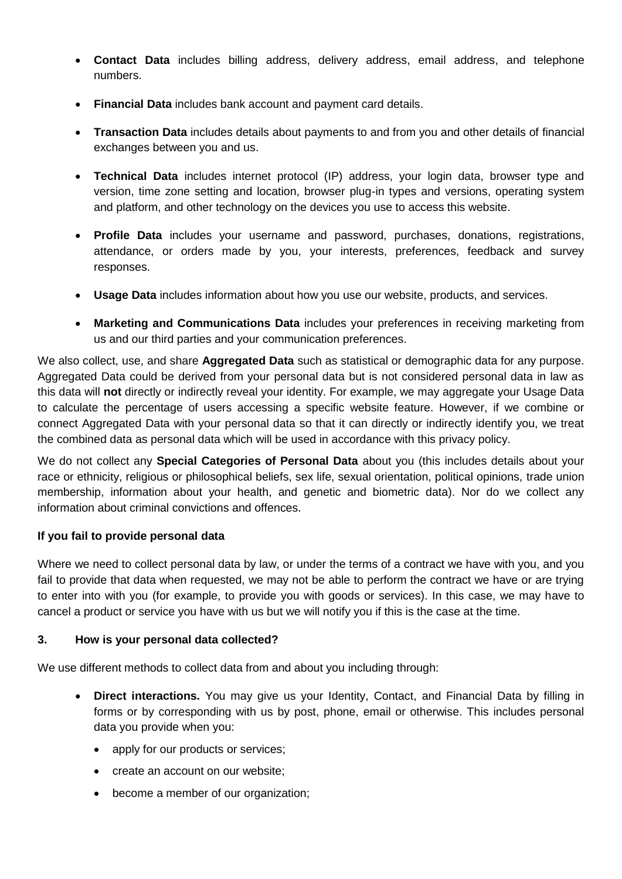- **Contact Data** includes billing address, delivery address, email address, and telephone numbers.
- **Financial Data** includes bank account and payment card details.
- **Transaction Data** includes details about payments to and from you and other details of financial exchanges between you and us.
- **Technical Data** includes internet protocol (IP) address, your login data, browser type and version, time zone setting and location, browser plug-in types and versions, operating system and platform, and other technology on the devices you use to access this website.
- **Profile Data** includes your username and password, purchases, donations, registrations, attendance, or orders made by you, your interests, preferences, feedback and survey responses.
- **Usage Data** includes information about how you use our website, products, and services.
- **Marketing and Communications Data** includes your preferences in receiving marketing from us and our third parties and your communication preferences.

We also collect, use, and share **Aggregated Data** such as statistical or demographic data for any purpose. Aggregated Data could be derived from your personal data but is not considered personal data in law as this data will **not** directly or indirectly reveal your identity. For example, we may aggregate your Usage Data to calculate the percentage of users accessing a specific website feature. However, if we combine or connect Aggregated Data with your personal data so that it can directly or indirectly identify you, we treat the combined data as personal data which will be used in accordance with this privacy policy.

We do not collect any **Special Categories of Personal Data** about you (this includes details about your race or ethnicity, religious or philosophical beliefs, sex life, sexual orientation, political opinions, trade union membership, information about your health, and genetic and biometric data). Nor do we collect any information about criminal convictions and offences.

# **If you fail to provide personal data**

Where we need to collect personal data by law, or under the terms of a contract we have with you, and you fail to provide that data when requested, we may not be able to perform the contract we have or are trying to enter into with you (for example, to provide you with goods or services). In this case, we may have to cancel a product or service you have with us but we will notify you if this is the case at the time.

# **3. How is your personal data collected?**

We use different methods to collect data from and about you including through:

- **Direct interactions.** You may give us your Identity, Contact, and Financial Data by filling in forms or by corresponding with us by post, phone, email or otherwise. This includes personal data you provide when you:
	- apply for our products or services:
	- create an account on our website:
	- become a member of our organization;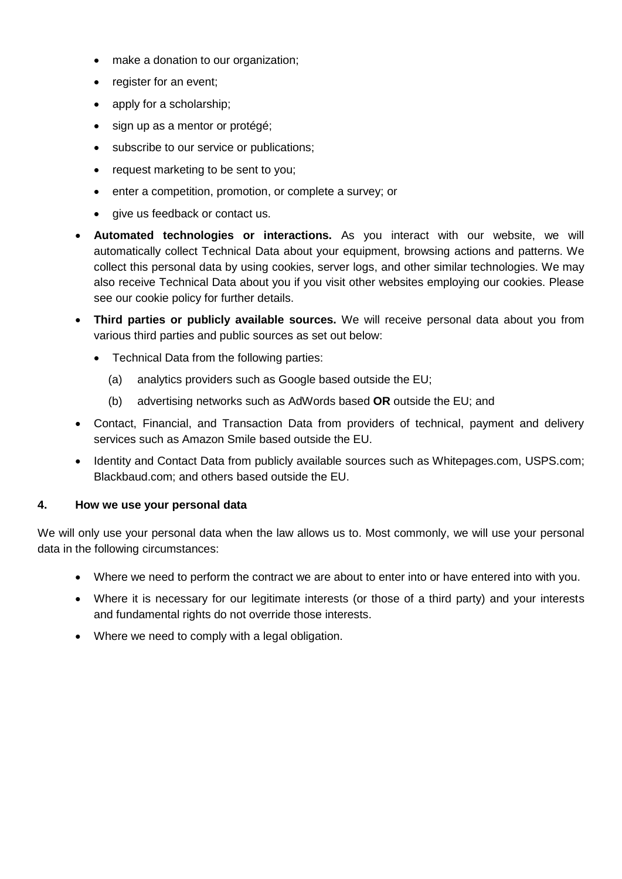- make a donation to our organization;
- register for an event;
- apply for a scholarship;
- sign up as a mentor or protégé;
- subscribe to our service or publications;
- request marketing to be sent to you;
- enter a competition, promotion, or complete a survey; or
- give us feedback or contact us.
- **Automated technologies or interactions.** As you interact with our website, we will automatically collect Technical Data about your equipment, browsing actions and patterns. We collect this personal data by using cookies, server logs, and other similar technologies. We may also receive Technical Data about you if you visit other websites employing our cookies. Please see our cookie policy for further details.
- **Third parties or publicly available sources.** We will receive personal data about you from various third parties and public sources as set out below:
	- Technical Data from the following parties:
		- (a) analytics providers such as Google based outside the EU;
		- (b) advertising networks such as AdWords based **OR** outside the EU; and
- Contact, Financial, and Transaction Data from providers of technical, payment and delivery services such as Amazon Smile based outside the EU.
- Identity and Contact Data from publicly available sources such as Whitepages.com, USPS.com; Blackbaud.com; and others based outside the EU.

## **4. How we use your personal data**

We will only use your personal data when the law allows us to. Most commonly, we will use your personal data in the following circumstances:

- Where we need to perform the contract we are about to enter into or have entered into with you.
- Where it is necessary for our legitimate interests (or those of a third party) and your interests and fundamental rights do not override those interests.
- Where we need to comply with a legal obligation.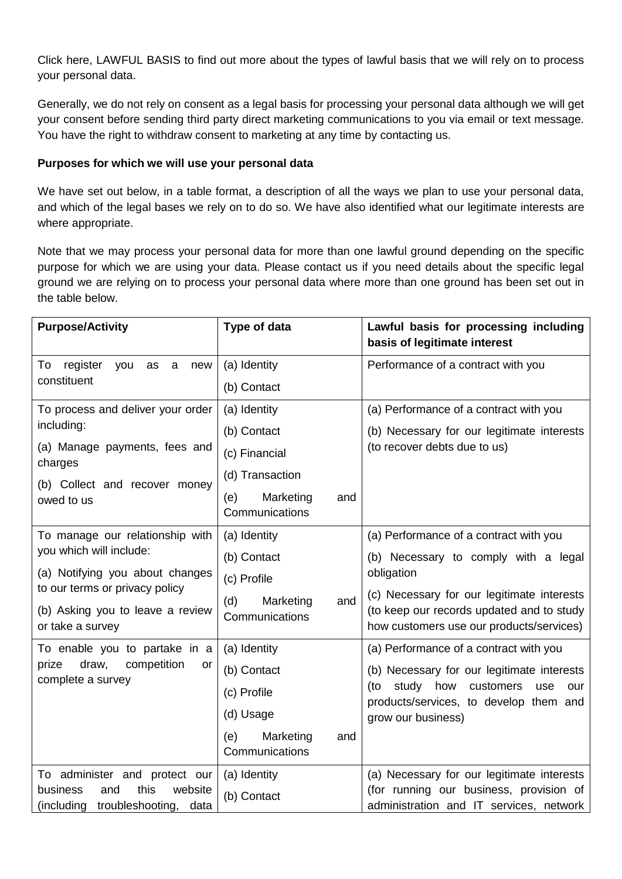Click here, LAWFUL BASIS to find out more about the types of lawful basis that we will rely on to process your personal data.

Generally, we do not rely on consent as a legal basis for processing your personal data although we will get your consent before sending third party direct marketing communications to you via email or text message. You have the right to withdraw consent to marketing at any time by contacting us.

## **Purposes for which we will use your personal data**

We have set out below, in a table format, a description of all the ways we plan to use your personal data, and which of the legal bases we rely on to do so. We have also identified what our legitimate interests are where appropriate.

Note that we may process your personal data for more than one lawful ground depending on the specific purpose for which we are using your data. Please contact us if you need details about the specific legal ground we are relying on to process your personal data where more than one ground has been set out in the table below.

| <b>Purpose/Activity</b>                                                                   | Type of data                              | Lawful basis for processing including<br>basis of legitimate interest                                                               |
|-------------------------------------------------------------------------------------------|-------------------------------------------|-------------------------------------------------------------------------------------------------------------------------------------|
| register<br>To<br>you<br>as<br>$\mathbf{a}$<br>new<br>constituent                         | (a) Identity                              | Performance of a contract with you                                                                                                  |
|                                                                                           | (b) Contact                               |                                                                                                                                     |
| To process and deliver your order<br>including:                                           | (a) Identity                              | (a) Performance of a contract with you                                                                                              |
|                                                                                           | (b) Contact                               | (b) Necessary for our legitimate interests                                                                                          |
| (a) Manage payments, fees and<br>charges                                                  | (c) Financial                             | (to recover debts due to us)                                                                                                        |
| (b) Collect and recover money<br>owed to us                                               | (d) Transaction                           |                                                                                                                                     |
|                                                                                           | (e)<br>Marketing<br>and<br>Communications |                                                                                                                                     |
| To manage our relationship with<br>you which will include:                                | (a) Identity                              | (a) Performance of a contract with you                                                                                              |
|                                                                                           | (b) Contact                               | (b) Necessary to comply with a legal                                                                                                |
| (a) Notifying you about changes<br>to our terms or privacy policy                         | (c) Profile                               | obligation                                                                                                                          |
| (b) Asking you to leave a review<br>or take a survey                                      | (d)<br>Marketing<br>and<br>Communications | (c) Necessary for our legitimate interests<br>(to keep our records updated and to study<br>how customers use our products/services) |
| To enable you to partake in a<br>prize<br>draw,<br>competition<br>or<br>complete a survey | (a) Identity                              | (a) Performance of a contract with you                                                                                              |
|                                                                                           | (b) Contact                               | (b) Necessary for our legitimate interests                                                                                          |
|                                                                                           | (c) Profile                               | how<br>(to<br>study<br>customers<br>use<br>our<br>products/services, to develop them and<br>grow our business)                      |
|                                                                                           | (d) Usage                                 |                                                                                                                                     |
|                                                                                           | (e)<br>Marketing<br>and<br>Communications |                                                                                                                                     |
| To administer and protect our                                                             | (a) Identity                              | (a) Necessary for our legitimate interests                                                                                          |
| this<br>business<br>website<br>and<br>(including<br>troubleshooting,<br>data              | (b) Contact                               | (for running our business, provision of<br>administration and IT services, network                                                  |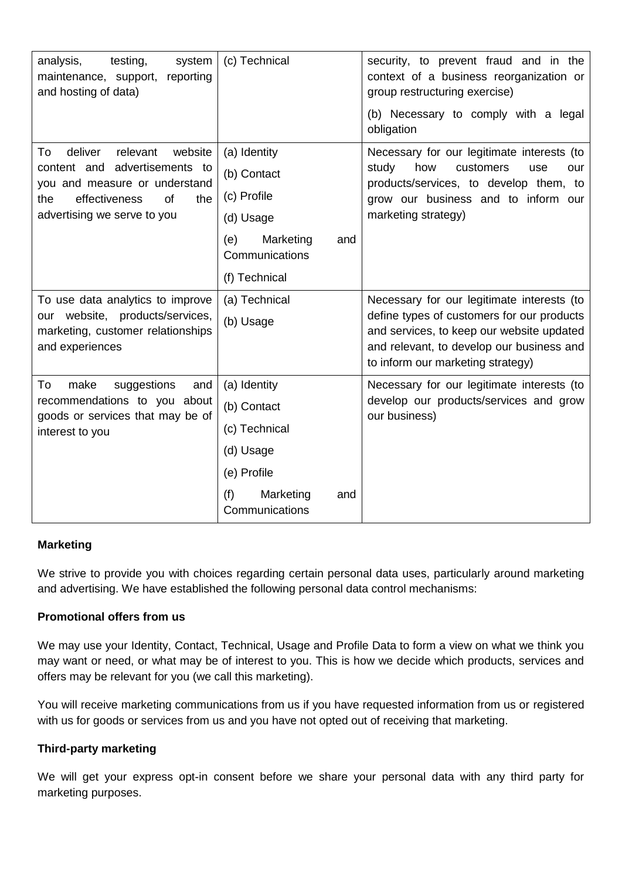| analysis,<br>testing,<br>system<br>maintenance, support, reporting<br>and hosting of data)                                                                                        | (c) Technical                                                                                                         | security, to prevent fraud and in the<br>context of a business reorganization or<br>group restructuring exercise)<br>(b) Necessary to comply with a legal<br>obligation                                                 |
|-----------------------------------------------------------------------------------------------------------------------------------------------------------------------------------|-----------------------------------------------------------------------------------------------------------------------|-------------------------------------------------------------------------------------------------------------------------------------------------------------------------------------------------------------------------|
| website<br>deliver<br>relevant<br>To<br>content and advertisements to<br>you and measure or understand<br>effectiveness<br><b>of</b><br>the<br>the<br>advertising we serve to you | (a) Identity<br>(b) Contact<br>(c) Profile<br>(d) Usage<br>Marketing<br>(e)<br>and<br>Communications<br>(f) Technical | Necessary for our legitimate interests (to<br>study<br>how<br>customers<br>use<br>our<br>products/services, to develop them, to<br>grow our business and to inform our<br>marketing strategy)                           |
| To use data analytics to improve<br>our website, products/services,<br>marketing, customer relationships<br>and experiences                                                       | (a) Technical<br>(b) Usage                                                                                            | Necessary for our legitimate interests (to<br>define types of customers for our products<br>and services, to keep our website updated<br>and relevant, to develop our business and<br>to inform our marketing strategy) |
| To<br>make<br>suggestions<br>and<br>recommendations to you about<br>goods or services that may be of<br>interest to you                                                           | (a) Identity<br>(b) Contact<br>(c) Technical<br>(d) Usage<br>(e) Profile<br>(f)<br>Marketing<br>and<br>Communications | Necessary for our legitimate interests (to<br>develop our products/services and grow<br>our business)                                                                                                                   |

# **Marketing**

We strive to provide you with choices regarding certain personal data uses, particularly around marketing and advertising. We have established the following personal data control mechanisms:

## **Promotional offers from us**

We may use your Identity, Contact, Technical, Usage and Profile Data to form a view on what we think you may want or need, or what may be of interest to you. This is how we decide which products, services and offers may be relevant for you (we call this marketing).

You will receive marketing communications from us if you have requested information from us or registered with us for goods or services from us and you have not opted out of receiving that marketing.

## **Third-party marketing**

We will get your express opt-in consent before we share your personal data with any third party for marketing purposes.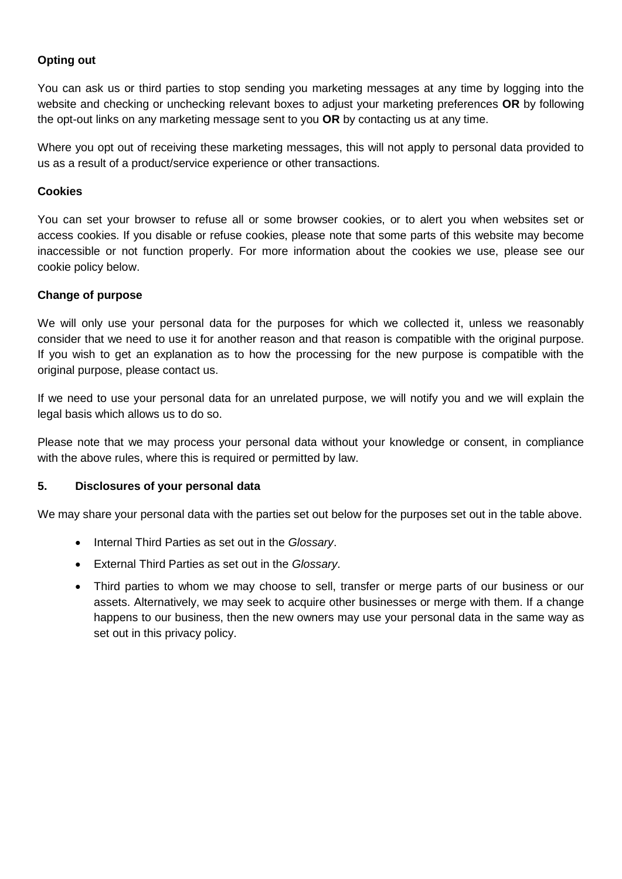# **Opting out**

You can ask us or third parties to stop sending you marketing messages at any time by logging into the website and checking or unchecking relevant boxes to adjust your marketing preferences **OR** by following the opt-out links on any marketing message sent to you **OR** by contacting us at any time.

Where you opt out of receiving these marketing messages, this will not apply to personal data provided to us as a result of a product/service experience or other transactions.

#### **Cookies**

You can set your browser to refuse all or some browser cookies, or to alert you when websites set or access cookies. If you disable or refuse cookies, please note that some parts of this website may become inaccessible or not function properly. For more information about the cookies we use, please see our cookie policy below.

#### **Change of purpose**

We will only use your personal data for the purposes for which we collected it, unless we reasonably consider that we need to use it for another reason and that reason is compatible with the original purpose. If you wish to get an explanation as to how the processing for the new purpose is compatible with the original purpose, please contact us.

If we need to use your personal data for an unrelated purpose, we will notify you and we will explain the legal basis which allows us to do so.

Please note that we may process your personal data without your knowledge or consent, in compliance with the above rules, where this is required or permitted by law.

## **5. Disclosures of your personal data**

We may share your personal data with the parties set out below for the purposes set out in the table above.

- Internal Third Parties as set out in the *Glossary*.
- External Third Parties as set out in the *Glossary*.
- Third parties to whom we may choose to sell, transfer or merge parts of our business or our assets. Alternatively, we may seek to acquire other businesses or merge with them. If a change happens to our business, then the new owners may use your personal data in the same way as set out in this privacy policy.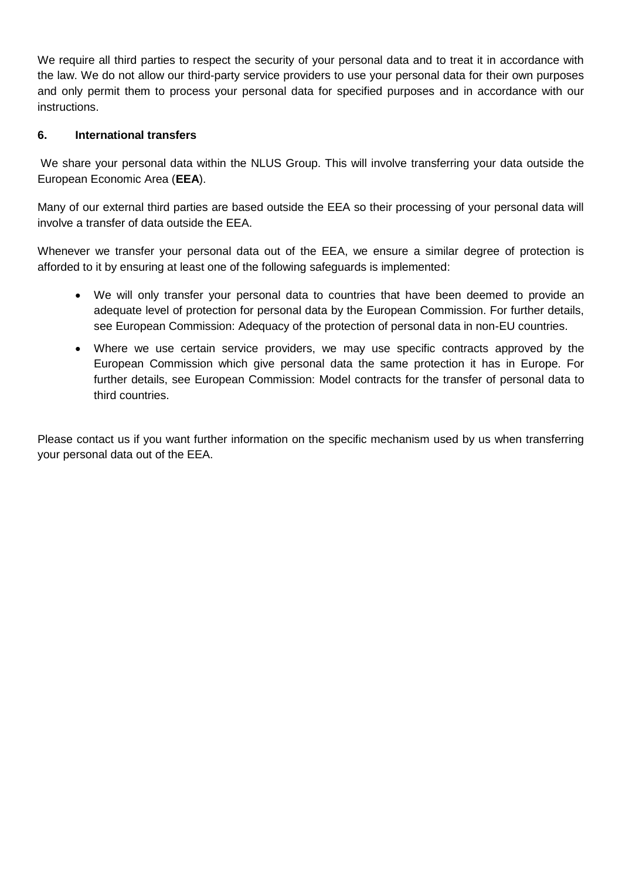We require all third parties to respect the security of your personal data and to treat it in accordance with the law. We do not allow our third-party service providers to use your personal data for their own purposes and only permit them to process your personal data for specified purposes and in accordance with our instructions.

# **6. International transfers**

We share your personal data within the NLUS Group. This will involve transferring your data outside the European Economic Area (**EEA**).

Many of our external third parties are based outside the EEA so their processing of your personal data will involve a transfer of data outside the EEA.

Whenever we transfer your personal data out of the EEA, we ensure a similar degree of protection is afforded to it by ensuring at least one of the following safeguards is implemented:

- We will only transfer your personal data to countries that have been deemed to provide an adequate level of protection for personal data by the European Commission. For further details, see European Commission: Adequacy of the protection of personal data in non-EU countries.
- Where we use certain service providers, we may use specific contracts approved by the European Commission which give personal data the same protection it has in Europe. For further details, see European Commission: Model contracts for the transfer of personal data to third countries.

Please contact us if you want further information on the specific mechanism used by us when transferring your personal data out of the EEA.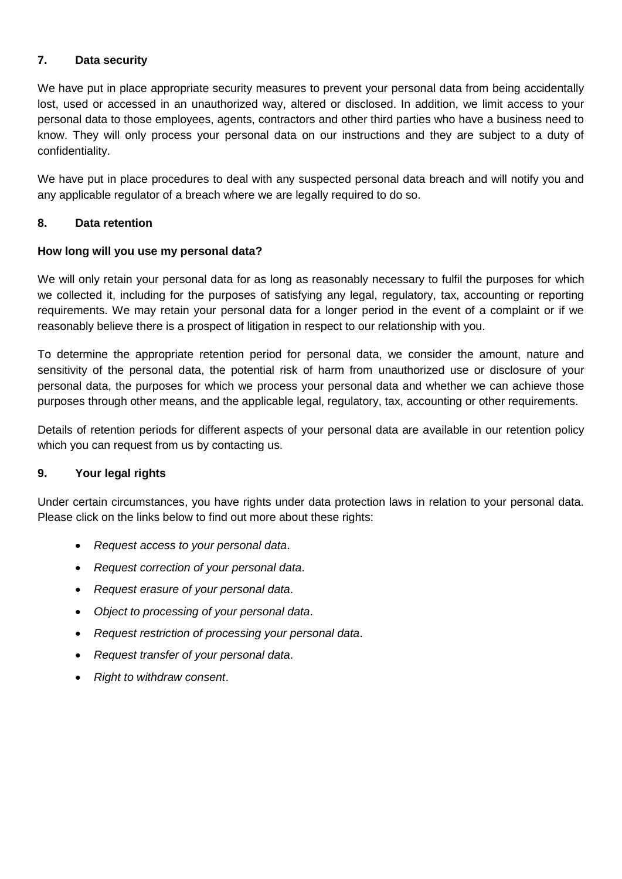# **7. Data security**

We have put in place appropriate security measures to prevent your personal data from being accidentally lost, used or accessed in an unauthorized way, altered or disclosed. In addition, we limit access to your personal data to those employees, agents, contractors and other third parties who have a business need to know. They will only process your personal data on our instructions and they are subject to a duty of confidentiality.

We have put in place procedures to deal with any suspected personal data breach and will notify you and any applicable regulator of a breach where we are legally required to do so.

# **8. Data retention**

## **How long will you use my personal data?**

We will only retain your personal data for as long as reasonably necessary to fulfil the purposes for which we collected it, including for the purposes of satisfying any legal, regulatory, tax, accounting or reporting requirements. We may retain your personal data for a longer period in the event of a complaint or if we reasonably believe there is a prospect of litigation in respect to our relationship with you.

To determine the appropriate retention period for personal data, we consider the amount, nature and sensitivity of the personal data, the potential risk of harm from unauthorized use or disclosure of your personal data, the purposes for which we process your personal data and whether we can achieve those purposes through other means, and the applicable legal, regulatory, tax, accounting or other requirements.

Details of retention periods for different aspects of your personal data are available in our retention policy which you can request from us by contacting us.

## **9. Your legal rights**

Under certain circumstances, you have rights under data protection laws in relation to your personal data. Please click on the links below to find out more about these rights:

- *Request access to your personal data*.
- *Request correction of your personal data*.
- *Request erasure of your personal data*.
- *Object to processing of your personal data*.
- *Request restriction of processing your personal data*.
- *Request transfer of your personal data*.
- *Right to withdraw consent*.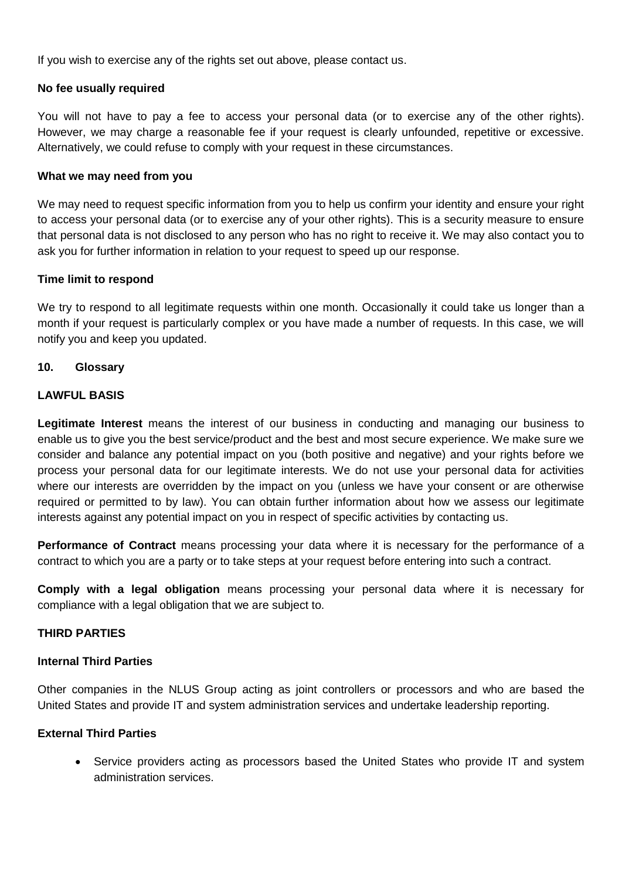If you wish to exercise any of the rights set out above, please contact us.

## **No fee usually required**

You will not have to pay a fee to access your personal data (or to exercise any of the other rights). However, we may charge a reasonable fee if your request is clearly unfounded, repetitive or excessive. Alternatively, we could refuse to comply with your request in these circumstances.

## **What we may need from you**

We may need to request specific information from you to help us confirm your identity and ensure your right to access your personal data (or to exercise any of your other rights). This is a security measure to ensure that personal data is not disclosed to any person who has no right to receive it. We may also contact you to ask you for further information in relation to your request to speed up our response.

## **Time limit to respond**

We try to respond to all legitimate requests within one month. Occasionally it could take us longer than a month if your request is particularly complex or you have made a number of requests. In this case, we will notify you and keep you updated.

#### **10. Glossary**

## **LAWFUL BASIS**

**Legitimate Interest** means the interest of our business in conducting and managing our business to enable us to give you the best service/product and the best and most secure experience. We make sure we consider and balance any potential impact on you (both positive and negative) and your rights before we process your personal data for our legitimate interests. We do not use your personal data for activities where our interests are overridden by the impact on you (unless we have your consent or are otherwise required or permitted to by law). You can obtain further information about how we assess our legitimate interests against any potential impact on you in respect of specific activities by contacting us.

**Performance of Contract** means processing your data where it is necessary for the performance of a contract to which you are a party or to take steps at your request before entering into such a contract.

**Comply with a legal obligation** means processing your personal data where it is necessary for compliance with a legal obligation that we are subject to.

## **THIRD PARTIES**

## **Internal Third Parties**

Other companies in the NLUS Group acting as joint controllers or processors and who are based the United States and provide IT and system administration services and undertake leadership reporting.

## **External Third Parties**

• Service providers acting as processors based the United States who provide IT and system administration services.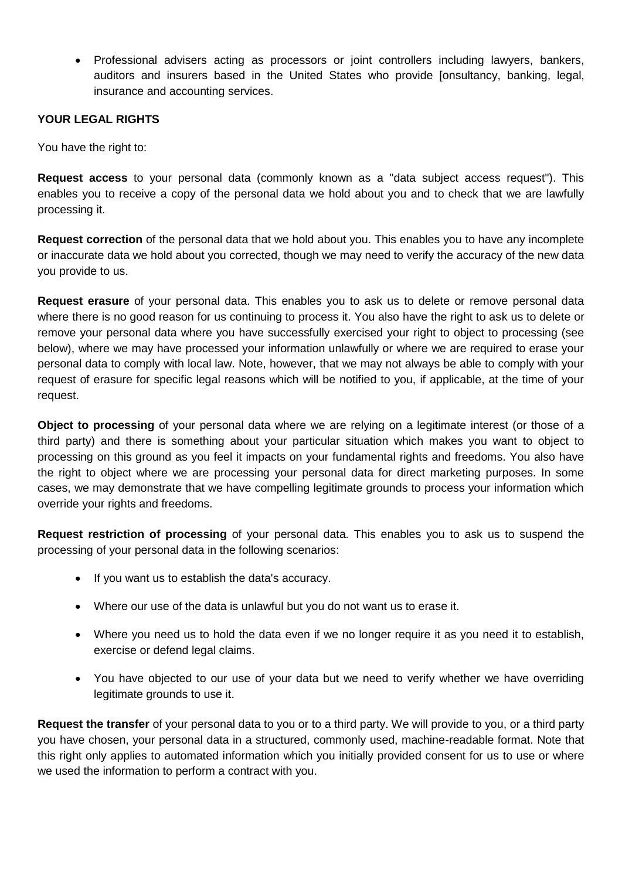• Professional advisers acting as processors or joint controllers including lawyers, bankers, auditors and insurers based in the United States who provide [onsultancy, banking, legal, insurance and accounting services.

## **YOUR LEGAL RIGHTS**

You have the right to:

**Request access** to your personal data (commonly known as a "data subject access request"). This enables you to receive a copy of the personal data we hold about you and to check that we are lawfully processing it.

**Request correction** of the personal data that we hold about you. This enables you to have any incomplete or inaccurate data we hold about you corrected, though we may need to verify the accuracy of the new data you provide to us.

**Request erasure** of your personal data. This enables you to ask us to delete or remove personal data where there is no good reason for us continuing to process it. You also have the right to ask us to delete or remove your personal data where you have successfully exercised your right to object to processing (see below), where we may have processed your information unlawfully or where we are required to erase your personal data to comply with local law. Note, however, that we may not always be able to comply with your request of erasure for specific legal reasons which will be notified to you, if applicable, at the time of your request.

**Object to processing** of your personal data where we are relying on a legitimate interest (or those of a third party) and there is something about your particular situation which makes you want to object to processing on this ground as you feel it impacts on your fundamental rights and freedoms. You also have the right to object where we are processing your personal data for direct marketing purposes. In some cases, we may demonstrate that we have compelling legitimate grounds to process your information which override your rights and freedoms.

**Request restriction of processing** of your personal data. This enables you to ask us to suspend the processing of your personal data in the following scenarios:

- If you want us to establish the data's accuracy.
- Where our use of the data is unlawful but you do not want us to erase it.
- Where you need us to hold the data even if we no longer require it as you need it to establish, exercise or defend legal claims.
- You have objected to our use of your data but we need to verify whether we have overriding legitimate grounds to use it.

**Request the transfer** of your personal data to you or to a third party. We will provide to you, or a third party you have chosen, your personal data in a structured, commonly used, machine-readable format. Note that this right only applies to automated information which you initially provided consent for us to use or where we used the information to perform a contract with you.